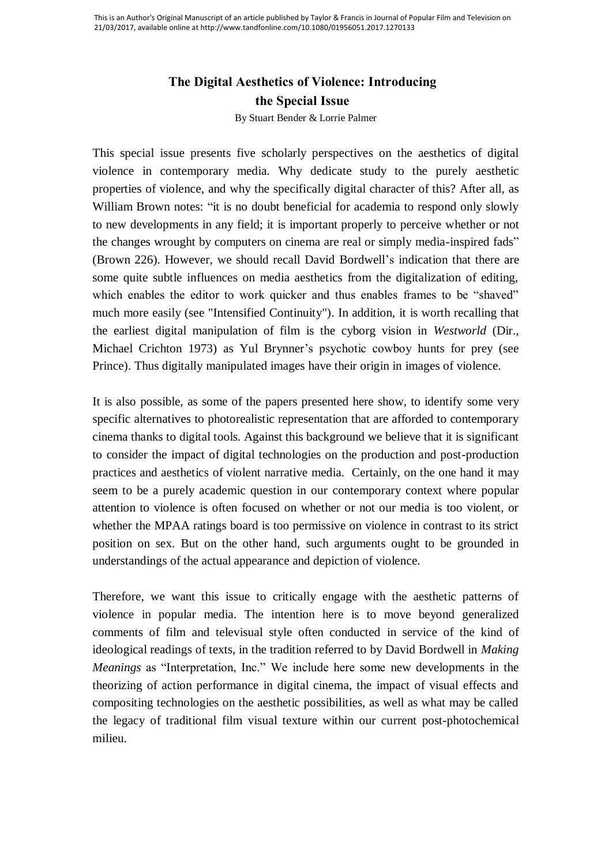## **The Digital Aesthetics of Violence: Introducing the Special Issue**

By Stuart Bender & Lorrie Palmer

This special issue presents five scholarly perspectives on the aesthetics of digital violence in contemporary media. Why dedicate study to the purely aesthetic properties of violence, and why the specifically digital character of this? After all, as William Brown notes: "it is no doubt beneficial for academia to respond only slowly to new developments in any field; it is important properly to perceive whether or not the changes wrought by computers on cinema are real or simply media-inspired fads" (Brown 226). However, we should recall David Bordwell's indication that there are some quite subtle influences on media aesthetics from the digitalization of editing, which enables the editor to work quicker and thus enables frames to be "shaved" much more easily (see "Intensified Continuity"). In addition, it is worth recalling that the earliest digital manipulation of film is the cyborg vision in *Westworld* (Dir., Michael Crichton 1973) as Yul Brynner's psychotic cowboy hunts for prey (see Prince). Thus digitally manipulated images have their origin in images of violence.

It is also possible, as some of the papers presented here show, to identify some very specific alternatives to photorealistic representation that are afforded to contemporary cinema thanks to digital tools. Against this background we believe that it is significant to consider the impact of digital technologies on the production and post-production practices and aesthetics of violent narrative media. Certainly, on the one hand it may seem to be a purely academic question in our contemporary context where popular attention to violence is often focused on whether or not our media is too violent, or whether the MPAA ratings board is too permissive on violence in contrast to its strict position on sex. But on the other hand, such arguments ought to be grounded in understandings of the actual appearance and depiction of violence.

Therefore, we want this issue to critically engage with the aesthetic patterns of violence in popular media. The intention here is to move beyond generalized comments of film and televisual style often conducted in service of the kind of ideological readings of texts, in the tradition referred to by David Bordwell in *Making Meanings* as "Interpretation, Inc." We include here some new developments in the theorizing of action performance in digital cinema, the impact of visual effects and compositing technologies on the aesthetic possibilities, as well as what may be called the legacy of traditional film visual texture within our current post-photochemical milieu.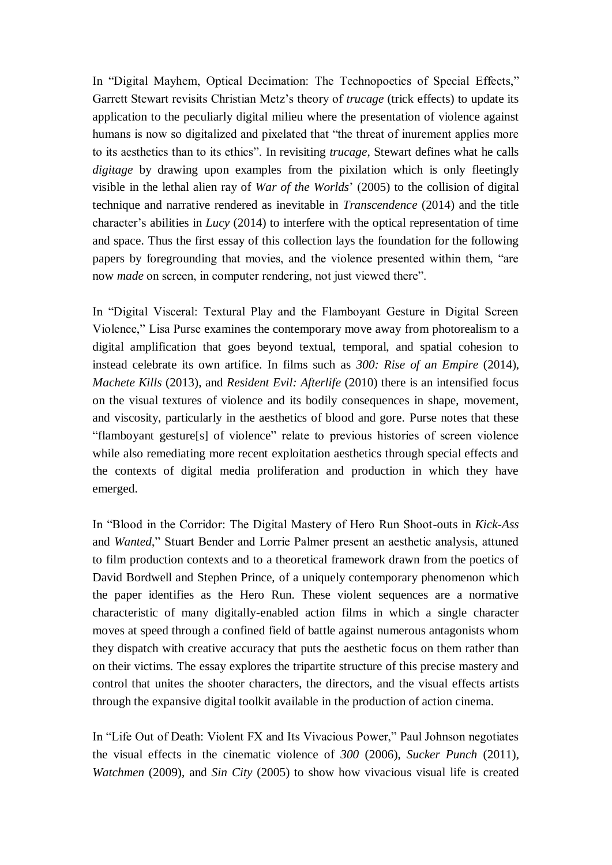In "Digital Mayhem, Optical Decimation: The Technopoetics of Special Effects," Garrett Stewart revisits Christian Metz's theory of *trucage* (trick effects) to update its application to the peculiarly digital milieu where the presentation of violence against humans is now so digitalized and pixelated that "the threat of inurement applies more to its aesthetics than to its ethics". In revisiting *trucage*, Stewart defines what he calls *digitage* by drawing upon examples from the pixilation which is only fleetingly visible in the lethal alien ray of *War of the Worlds*' (2005) to the collision of digital technique and narrative rendered as inevitable in *Transcendence* (2014) and the title character's abilities in *Lucy* (2014) to interfere with the optical representation of time and space. Thus the first essay of this collection lays the foundation for the following papers by foregrounding that movies, and the violence presented within them, "are now *made* on screen, in computer rendering, not just viewed there".

In "Digital Visceral: Textural Play and the Flamboyant Gesture in Digital Screen Violence," Lisa Purse examines the contemporary move away from photorealism to a digital amplification that goes beyond textual, temporal, and spatial cohesion to instead celebrate its own artifice. In films such as *300: Rise of an Empire* (2014), *Machete Kills* (2013), and *Resident Evil: Afterlife* (2010) there is an intensified focus on the visual textures of violence and its bodily consequences in shape, movement, and viscosity, particularly in the aesthetics of blood and gore. Purse notes that these "flamboyant gesture[s] of violence" relate to previous histories of screen violence while also remediating more recent exploitation aesthetics through special effects and the contexts of digital media proliferation and production in which they have emerged.

In "Blood in the Corridor: The Digital Mastery of Hero Run Shoot-outs in *Kick-Ass* and *Wanted*," Stuart Bender and Lorrie Palmer present an aesthetic analysis, attuned to film production contexts and to a theoretical framework drawn from the poetics of David Bordwell and Stephen Prince, of a uniquely contemporary phenomenon which the paper identifies as the Hero Run. These violent sequences are a normative characteristic of many digitally-enabled action films in which a single character moves at speed through a confined field of battle against numerous antagonists whom they dispatch with creative accuracy that puts the aesthetic focus on them rather than on their victims. The essay explores the tripartite structure of this precise mastery and control that unites the shooter characters, the directors, and the visual effects artists through the expansive digital toolkit available in the production of action cinema.

In "Life Out of Death: Violent FX and Its Vivacious Power," Paul Johnson negotiates the visual effects in the cinematic violence of *300* (2006), *Sucker Punch* (2011), *Watchmen* (2009), and *Sin City* (2005) to show how vivacious visual life is created